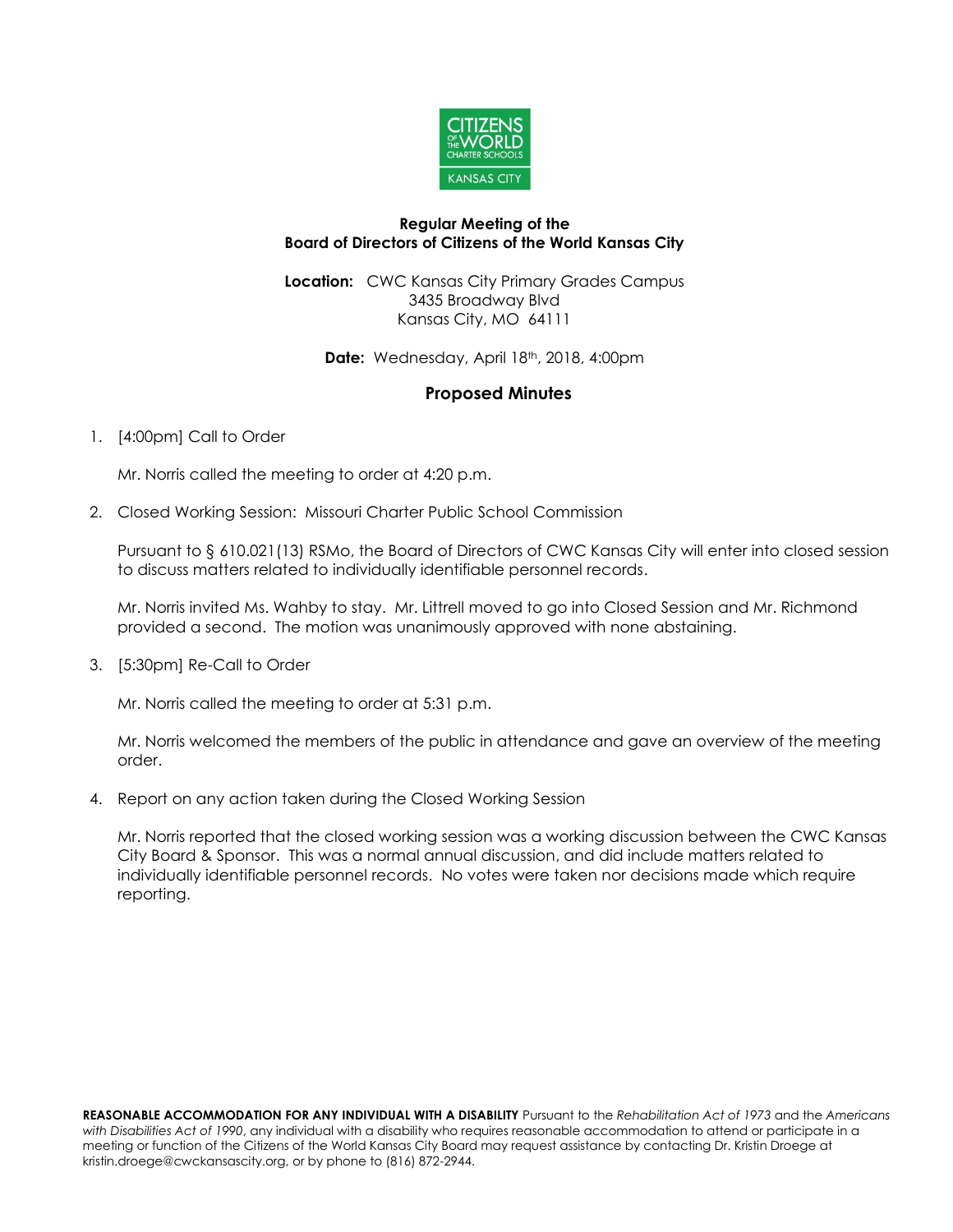

#### **Regular Meeting of the Board of Directors of Citizens of the World Kansas City**

**Location:** CWC Kansas City Primary Grades Campus 3435 Broadway Blvd Kansas City, MO 64111

**Date:** Wednesday, April 18<sup>th</sup>, 2018, 4:00pm

# **Proposed Minutes**

## 1. [4:00pm] Call to Order

Mr. Norris called the meeting to order at 4:20 p.m.

2. Closed Working Session: Missouri Charter Public School Commission

Pursuant to § 610.021(13) RSMo, the Board of Directors of CWC Kansas City will enter into closed session to discuss matters related to individually identifiable personnel records.

Mr. Norris invited Ms. Wahby to stay. Mr. Littrell moved to go into Closed Session and Mr. Richmond provided a second. The motion was unanimously approved with none abstaining.

3. [5:30pm] Re-Call to Order

Mr. Norris called the meeting to order at 5:31 p.m.

Mr. Norris welcomed the members of the public in attendance and gave an overview of the meeting order.

4. Report on any action taken during the Closed Working Session

Mr. Norris reported that the closed working session was a working discussion between the CWC Kansas City Board & Sponsor. This was a normal annual discussion, and did include matters related to individually identifiable personnel records. No votes were taken nor decisions made which require reporting.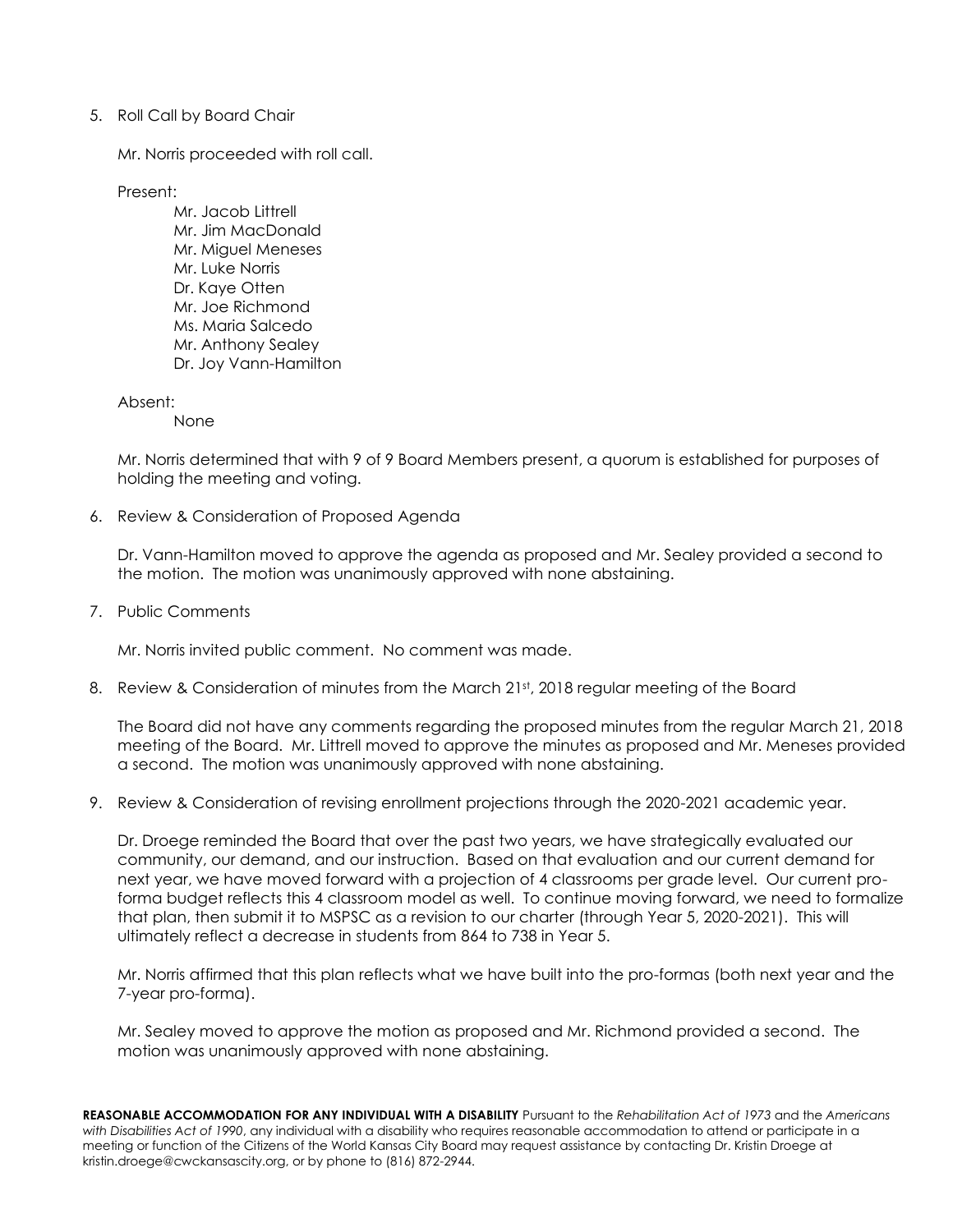### 5. Roll Call by Board Chair

Mr. Norris proceeded with roll call.

Present:

Mr. Jacob Littrell Mr. Jim MacDonald Mr. Miguel Meneses Mr. Luke Norris Dr. Kaye Otten Mr. Joe Richmond Ms. Maria Salcedo Mr. Anthony Sealey Dr. Joy Vann-Hamilton

Absent:

None

Mr. Norris determined that with 9 of 9 Board Members present, a quorum is established for purposes of holding the meeting and voting.

6. Review & Consideration of Proposed Agenda

Dr. Vann-Hamilton moved to approve the agenda as proposed and Mr. Sealey provided a second to the motion. The motion was unanimously approved with none abstaining.

7. Public Comments

Mr. Norris invited public comment. No comment was made.

8. Review & Consideration of minutes from the March 21st, 2018 regular meeting of the Board

The Board did not have any comments regarding the proposed minutes from the regular March 21, 2018 meeting of the Board. Mr. Littrell moved to approve the minutes as proposed and Mr. Meneses provided a second. The motion was unanimously approved with none abstaining.

9. Review & Consideration of revising enrollment projections through the 2020-2021 academic year.

Dr. Droege reminded the Board that over the past two years, we have strategically evaluated our community, our demand, and our instruction. Based on that evaluation and our current demand for next year, we have moved forward with a projection of 4 classrooms per grade level. Our current proforma budget reflects this 4 classroom model as well. To continue moving forward, we need to formalize that plan, then submit it to MSPSC as a revision to our charter (through Year 5, 2020-2021). This will ultimately reflect a decrease in students from 864 to 738 in Year 5.

Mr. Norris affirmed that this plan reflects what we have built into the pro-formas (both next year and the 7-year pro-forma).

Mr. Sealey moved to approve the motion as proposed and Mr. Richmond provided a second. The motion was unanimously approved with none abstaining.

**REASONABLE ACCOMMODATION FOR ANY INDIVIDUAL WITH A DISABILITY** Pursuant to the *Rehabilitation Act of 1973* and the *Americans with Disabilities Act of 1990*, any individual with a disability who requires reasonable accommodation to attend or participate in a meeting or function of the Citizens of the World Kansas City Board may request assistance by contacting Dr. Kristin Droege at kristin.droege@cwckansascity.org, or by phone to (816) 872-2944.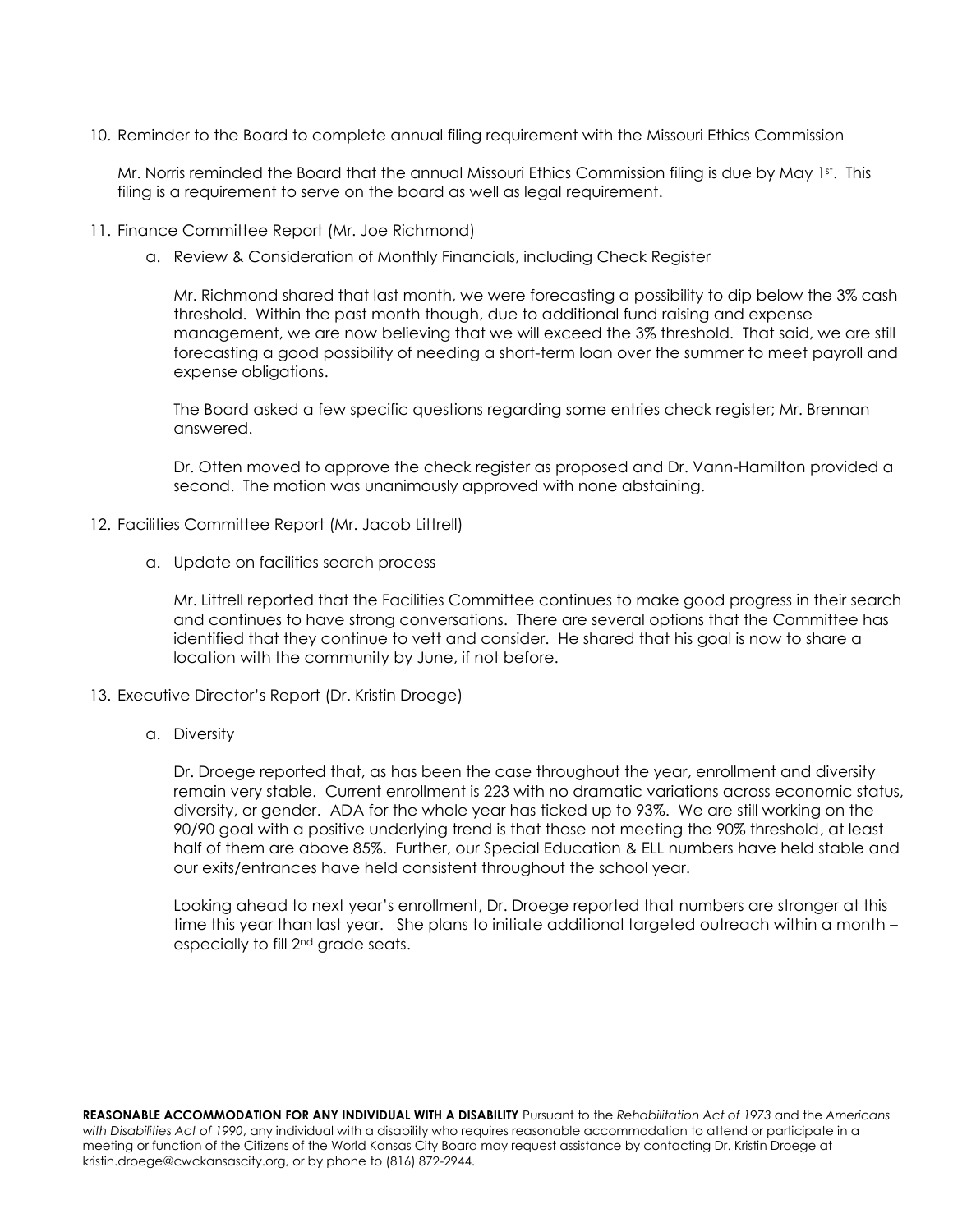10. Reminder to the Board to complete annual filing requirement with the Missouri Ethics Commission

Mr. Norris reminded the Board that the annual Missouri Ethics Commission filing is due by May 1st. This filing is a requirement to serve on the board as well as legal requirement.

- 11. Finance Committee Report (Mr. Joe Richmond)
	- a. Review & Consideration of Monthly Financials, including Check Register

Mr. Richmond shared that last month, we were forecasting a possibility to dip below the 3% cash threshold. Within the past month though, due to additional fund raising and expense management, we are now believing that we will exceed the 3% threshold. That said, we are still forecasting a good possibility of needing a short-term loan over the summer to meet payroll and expense obligations.

The Board asked a few specific questions regarding some entries check register; Mr. Brennan answered.

Dr. Otten moved to approve the check register as proposed and Dr. Vann-Hamilton provided a second. The motion was unanimously approved with none abstaining.

- 12. Facilities Committee Report (Mr. Jacob Littrell)
	- a. Update on facilities search process

Mr. Littrell reported that the Facilities Committee continues to make good progress in their search and continues to have strong conversations. There are several options that the Committee has identified that they continue to vett and consider. He shared that his goal is now to share a location with the community by June, if not before.

- 13. Executive Director's Report (Dr. Kristin Droege)
	- a. Diversity

Dr. Droege reported that, as has been the case throughout the year, enrollment and diversity remain very stable. Current enrollment is 223 with no dramatic variations across economic status, diversity, or gender. ADA for the whole year has ticked up to 93%. We are still working on the 90/90 goal with a positive underlying trend is that those not meeting the 90% threshold, at least half of them are above 85%. Further, our Special Education & ELL numbers have held stable and our exits/entrances have held consistent throughout the school year.

Looking ahead to next year's enrollment, Dr. Droege reported that numbers are stronger at this time this year than last year. She plans to initiate additional targeted outreach within a month – especially to fill 2<sup>nd</sup> grade seats.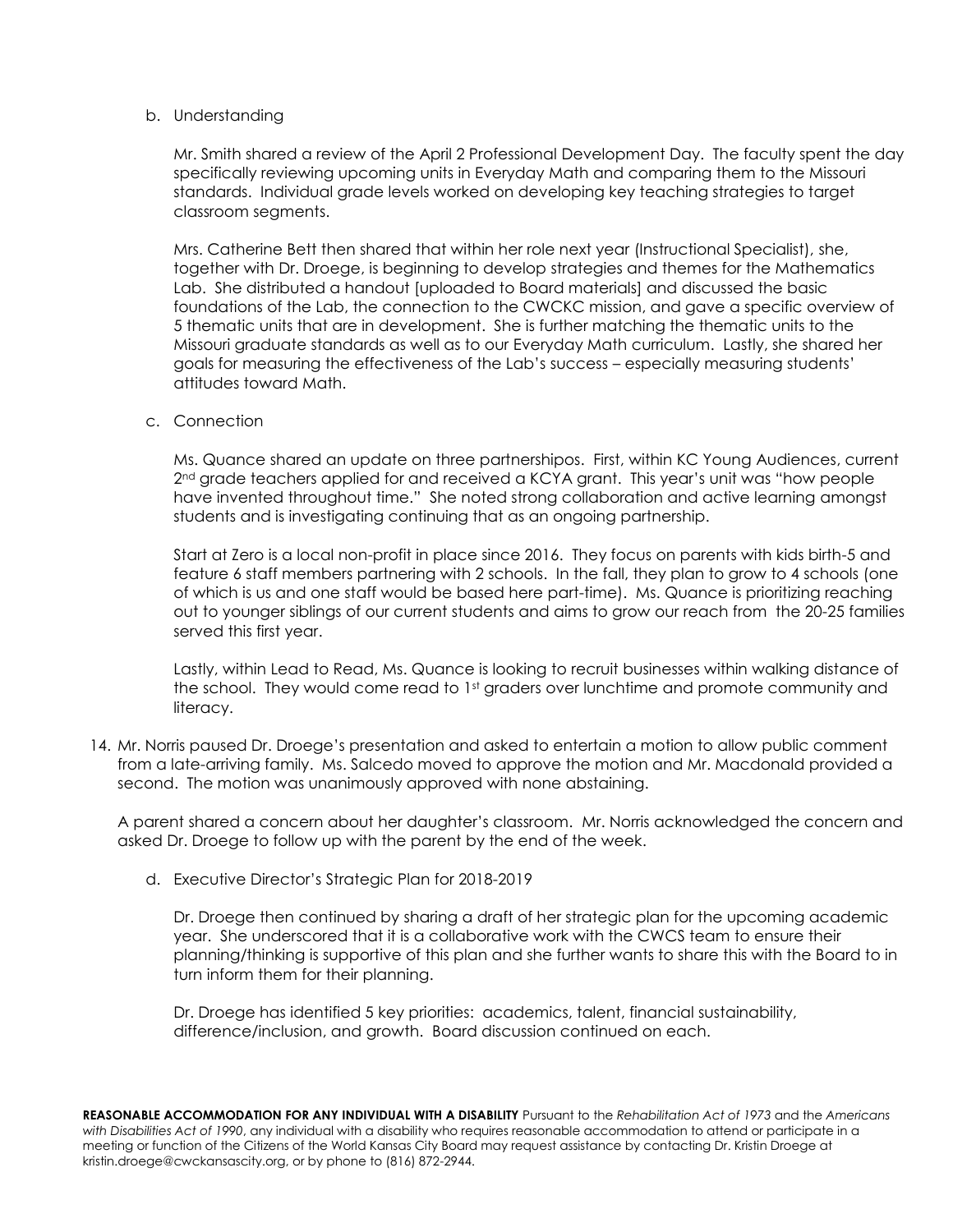#### b. Understanding

Mr. Smith shared a review of the April 2 Professional Development Day. The faculty spent the day specifically reviewing upcoming units in Everyday Math and comparing them to the Missouri standards. Individual grade levels worked on developing key teaching strategies to target classroom segments.

Mrs. Catherine Bett then shared that within her role next year (Instructional Specialist), she, together with Dr. Droege, is beginning to develop strategies and themes for the Mathematics Lab. She distributed a handout [uploaded to Board materials] and discussed the basic foundations of the Lab, the connection to the CWCKC mission, and gave a specific overview of 5 thematic units that are in development. She is further matching the thematic units to the Missouri graduate standards as well as to our Everyday Math curriculum. Lastly, she shared her goals for measuring the effectiveness of the Lab's success – especially measuring students' attitudes toward Math.

c. Connection

Ms. Quance shared an update on three partnershipos. First, within KC Young Audiences, current 2<sup>nd</sup> grade teachers applied for and received a KCYA grant. This year's unit was "how people have invented throughout time." She noted strong collaboration and active learning amongst students and is investigating continuing that as an ongoing partnership.

Start at Zero is a local non-profit in place since 2016. They focus on parents with kids birth-5 and feature 6 staff members partnering with 2 schools. In the fall, they plan to grow to 4 schools (one of which is us and one staff would be based here part-time). Ms. Quance is prioritizing reaching out to younger siblings of our current students and aims to grow our reach from the 20-25 families served this first year.

Lastly, within Lead to Read, Ms. Quance is looking to recruit businesses within walking distance of the school. They would come read to 1<sup>st</sup> graders over lunchtime and promote community and literacy.

14. Mr. Norris paused Dr. Droege's presentation and asked to entertain a motion to allow public comment from a late-arriving family. Ms. Salcedo moved to approve the motion and Mr. Macdonald provided a second. The motion was unanimously approved with none abstaining.

A parent shared a concern about her daughter's classroom. Mr. Norris acknowledged the concern and asked Dr. Droege to follow up with the parent by the end of the week.

d. Executive Director's Strategic Plan for 2018-2019

Dr. Droege then continued by sharing a draft of her strategic plan for the upcoming academic year. She underscored that it is a collaborative work with the CWCS team to ensure their planning/thinking is supportive of this plan and she further wants to share this with the Board to in turn inform them for their planning.

Dr. Droege has identified 5 key priorities: academics, talent, financial sustainability, difference/inclusion, and growth. Board discussion continued on each.

**REASONABLE ACCOMMODATION FOR ANY INDIVIDUAL WITH A DISABILITY** Pursuant to the *Rehabilitation Act of 1973* and the *Americans with Disabilities Act of 1990*, any individual with a disability who requires reasonable accommodation to attend or participate in a meeting or function of the Citizens of the World Kansas City Board may request assistance by contacting Dr. Kristin Droege at kristin.droege@cwckansascity.org, or by phone to (816) 872-2944.